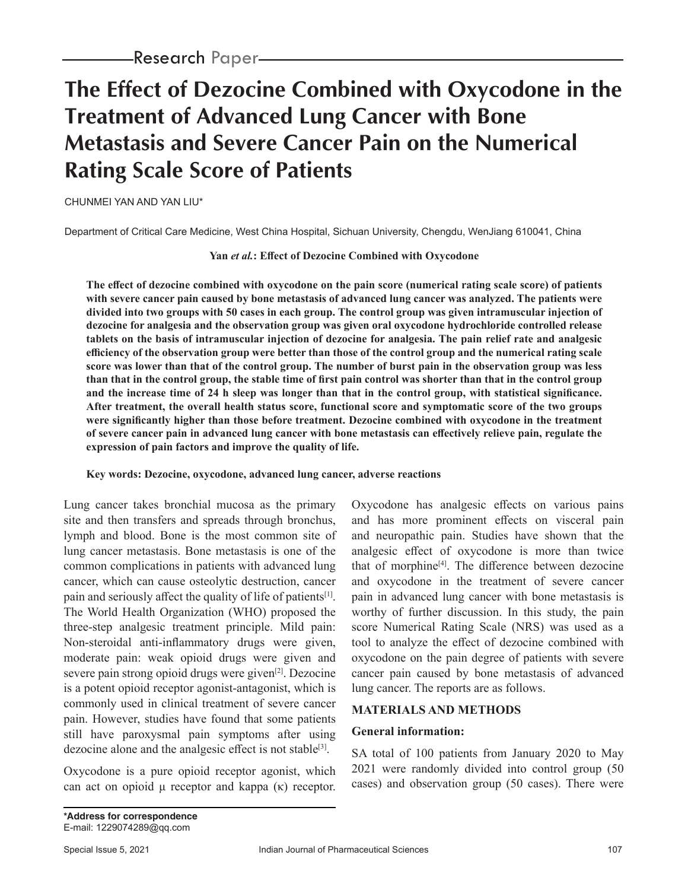# **The Effect of Dezocine Combined with Oxycodone in the Treatment of Advanced Lung Cancer with Bone Metastasis and Severe Cancer Pain on the Numerical Rating Scale Score of Patients**

CHUNMEI YAN AND YAN LIU\*

Department of Critical Care Medicine, West China Hospital, Sichuan University, Chengdu, WenJiang 610041, China

**Yan** *et al.***: Effect of Dezocine Combined with Oxycodone**

**The effect of dezocine combined with oxycodone on the pain score (numerical rating scale score) of patients with severe cancer pain caused by bone metastasis of advanced lung cancer was analyzed. The patients were divided into two groups with 50 cases in each group. The control group was given intramuscular injection of dezocine for analgesia and the observation group was given oral oxycodone hydrochloride controlled release tablets on the basis of intramuscular injection of dezocine for analgesia. The pain relief rate and analgesic efficiency of the observation group were better than those of the control group and the numerical rating scale score was lower than that of the control group. The number of burst pain in the observation group was less than that in the control group, the stable time of first pain control was shorter than that in the control group and the increase time of 24 h sleep was longer than that in the control group, with statistical significance. After treatment, the overall health status score, functional score and symptomatic score of the two groups were significantly higher than those before treatment. Dezocine combined with oxycodone in the treatment of severe cancer pain in advanced lung cancer with bone metastasis can effectively relieve pain, regulate the expression of pain factors and improve the quality of life.**

## **Key words: Dezocine, oxycodone, advanced lung cancer, adverse reactions**

Lung cancer takes bronchial mucosa as the primary site and then transfers and spreads through bronchus, lymph and blood. Bone is the most common site of lung cancer metastasis. Bone metastasis is one of the common complications in patients with advanced lung cancer, which can cause osteolytic destruction, cancer pain and seriously affect the quality of life of patients<sup>[1]</sup>. The World Health Organization (WHO) proposed the three-step analgesic treatment principle. Mild pain: Non-steroidal anti-inflammatory drugs were given, moderate pain: weak opioid drugs were given and severe pain strong opioid drugs were given<sup>[2]</sup>. Dezocine is a potent opioid receptor agonist-antagonist, which is commonly used in clinical treatment of severe cancer pain. However, studies have found that some patients still have paroxysmal pain symptoms after using dezocine alone and the analgesic effect is not stable<sup>[3]</sup>.

Oxycodone is a pure opioid receptor agonist, which can act on opioid μ receptor and kappa (κ) receptor. Oxycodone has analgesic effects on various pains and has more prominent effects on visceral pain and neuropathic pain. Studies have shown that the analgesic effect of oxycodone is more than twice that of morphine<sup>[4]</sup>. The difference between dezocine and oxycodone in the treatment of severe cancer pain in advanced lung cancer with bone metastasis is worthy of further discussion. In this study, the pain score Numerical Rating Scale (NRS) was used as a tool to analyze the effect of dezocine combined with oxycodone on the pain degree of patients with severe cancer pain caused by bone metastasis of advanced lung cancer. The reports are as follows.

## **MATERIALS AND METHODS**

## **General information:**

SA total of 100 patients from January 2020 to May 2021 were randomly divided into control group (50 cases) and observation group (50 cases). There were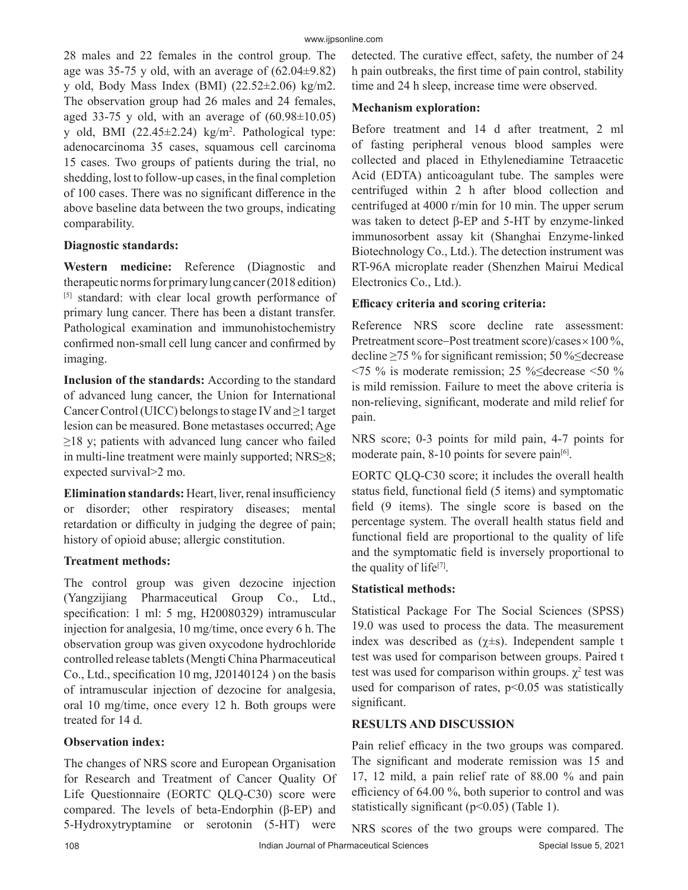28 males and 22 females in the control group. The age was 35-75 y old, with an average of  $(62.04\pm9.82)$ y old, Body Mass Index (BMI) (22.52±2.06) kg/m2. The observation group had 26 males and 24 females, aged 33-75 y old, with an average of  $(60.98\pm10.05)$ y old, BMI  $(22.45 \pm 2.24)$  kg/m<sup>2</sup>. Pathological type: adenocarcinoma 35 cases, squamous cell carcinoma 15 cases. Two groups of patients during the trial, no shedding, lost to follow-up cases, in the final completion of 100 cases. There was no significant difference in the above baseline data between the two groups, indicating comparability.

# **Diagnostic standards:**

**Western medicine:** Reference (Diagnostic and therapeutic norms for primary lung cancer (2018 edition) [5] standard: with clear local growth performance of primary lung cancer. There has been a distant transfer. Pathological examination and immunohistochemistry confirmed non-small cell lung cancer and confirmed by imaging.

**Inclusion of the standards:** According to the standard of advanced lung cancer, the Union for International Cancer Control (UICC) belongs to stage IV and ≥1 target lesion can be measured. Bone metastases occurred; Age  $\geq$ 18 y; patients with advanced lung cancer who failed in multi-line treatment were mainly supported; NRS≥8; expected survival>2 mo.

**Elimination standards:** Heart, liver, renal insufficiency or disorder; other respiratory diseases; mental retardation or difficulty in judging the degree of pain; history of opioid abuse; allergic constitution.

## **Treatment methods:**

The control group was given dezocine injection (Yangzijiang Pharmaceutical Group Co., Ltd., specification: 1 ml: 5 mg, H20080329) intramuscular injection for analgesia, 10 mg/time, once every 6 h. The observation group was given oxycodone hydrochloride controlled release tablets (Mengti China Pharmaceutical Co., Ltd., specification 10 mg, J20140124 ) on the basis of intramuscular injection of dezocine for analgesia, oral 10 mg/time, once every 12 h. Both groups were treated for 14 d.

# **Observation index:**

The changes of NRS score and European Organisation for Research and Treatment of Cancer Quality Of Life Questionnaire (EORTC QLQ-C30) score were compared. The levels of beta-Endorphin (β-EP) and 5-Hydroxytryptamine or serotonin (5-HT) were detected. The curative effect, safety, the number of 24 h pain outbreaks, the first time of pain control, stability time and 24 h sleep, increase time were observed.

# **Mechanism exploration:**

Before treatment and 14 d after treatment, 2 ml of fasting peripheral venous blood samples were collected and placed in Ethylenediamine Tetraacetic Acid (EDTA) anticoagulant tube. The samples were centrifuged within 2 h after blood collection and centrifuged at 4000 r/min for 10 min. The upper serum was taken to detect β-EP and 5-HT by enzyme-linked immunosorbent assay kit (Shanghai Enzyme-linked Biotechnology Co., Ltd.). The detection instrument was RT-96A microplate reader (Shenzhen Mairui Medical Electronics Co., Ltd.).

# **Efficacy criteria and scoring criteria:**

Reference NRS score decline rate assessment: Pretreatment score-Post treatment score)/cases $\times100\%$ , decline ≥75 % for significant remission; 50 %≤decrease <75 % is moderate remission; 25 %≤decrease <50 % is mild remission. Failure to meet the above criteria is non-relieving, significant, moderate and mild relief for pain.

NRS score; 0-3 points for mild pain, 4-7 points for moderate pain, 8-10 points for severe pain<sup>[6]</sup>.

EORTC QLQ-C30 score; it includes the overall health status field, functional field (5 items) and symptomatic field (9 items). The single score is based on the percentage system. The overall health status field and functional field are proportional to the quality of life and the symptomatic field is inversely proportional to the quality of life<sup>[7]</sup>.

# **Statistical methods:**

Statistical Package For The Social Sciences (SPSS) 19.0 was used to process the data. The measurement index was described as  $(\chi \pm s)$ . Independent sample t test was used for comparison between groups. Paired t test was used for comparison within groups.  $\chi^2$  test was used for comparison of rates,  $p<0.05$  was statistically significant.

# **RESULTS AND DISCUSSION**

Pain relief efficacy in the two groups was compared. The significant and moderate remission was 15 and 17, 12 mild, a pain relief rate of 88.00 % and pain efficiency of 64.00 %, both superior to control and was statistically significant (p<0.05) (Table 1).

108 Indian Journal of Pharmaceutical Sciences Special Issue 5, 2021 NRS scores of the two groups were compared. The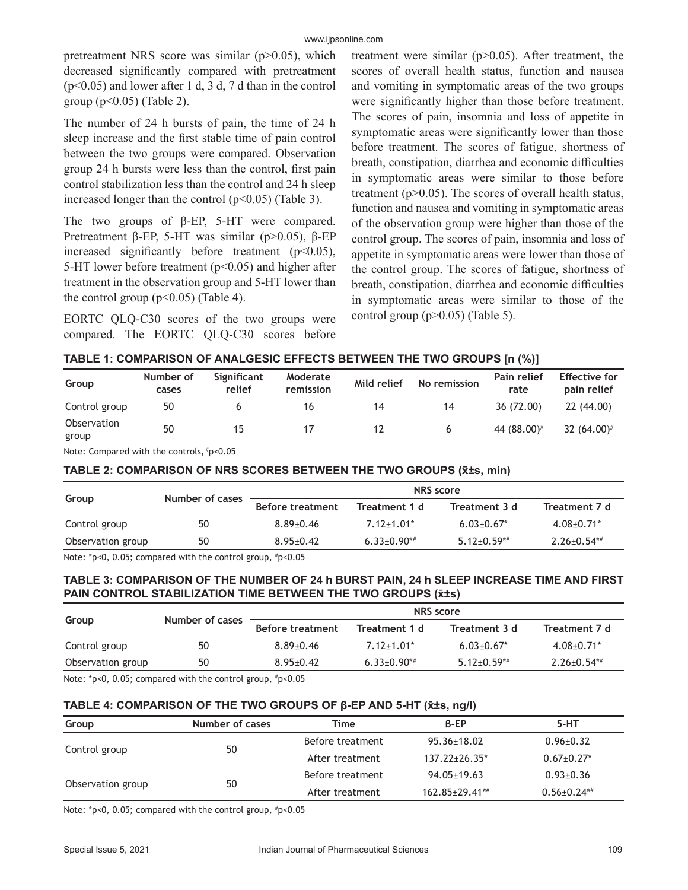#### www.ijpsonline.com

pretreatment NRS score was similar (p>0.05), which decreased significantly compared with pretreatment  $(p<0.05)$  and lower after 1 d, 3 d, 7 d than in the control group  $(p<0.05)$  (Table 2).

The number of 24 h bursts of pain, the time of 24 h sleep increase and the first stable time of pain control between the two groups were compared. Observation group 24 h bursts were less than the control, first pain control stabilization less than the control and 24 h sleep increased longer than the control  $(p<0.05)$  (Table 3).

The two groups of β-EP, 5-HT were compared. Pretreatment β-EP, 5-HT was similar (p>0.05), β-EP increased significantly before treatment  $(p<0.05)$ , 5-HT lower before treatment ( $p$ <0.05) and higher after treatment in the observation group and 5-HT lower than the control group  $(p<0.05)$  (Table 4).

EORTC QLQ-C30 scores of the two groups were compared. The EORTC QLQ-C30 scores before treatment were similar  $(p>0.05)$ . After treatment, the scores of overall health status, function and nausea and vomiting in symptomatic areas of the two groups were significantly higher than those before treatment. The scores of pain, insomnia and loss of appetite in symptomatic areas were significantly lower than those before treatment. The scores of fatigue, shortness of breath, constipation, diarrhea and economic difficulties in symptomatic areas were similar to those before treatment ( $p > 0.05$ ). The scores of overall health status, function and nausea and vomiting in symptomatic areas of the observation group were higher than those of the control group. The scores of pain, insomnia and loss of appetite in symptomatic areas were lower than those of the control group. The scores of fatigue, shortness of breath, constipation, diarrhea and economic difficulties in symptomatic areas were similar to those of the control group (p>0.05) (Table 5).

|  | TABLE 1: COMPARISON OF ANALGESIC EFFECTS BETWEEN THE TWO GROUPS [n (%)] |  |  |  |  |  |
|--|-------------------------------------------------------------------------|--|--|--|--|--|
|--|-------------------------------------------------------------------------|--|--|--|--|--|

| Group                | Number of<br>cases | Significant<br>relief | Moderate<br>remission | Mild relief | No remission | Pain relief<br>rate | <b>Effective for</b><br>pain relief |
|----------------------|--------------------|-----------------------|-----------------------|-------------|--------------|---------------------|-------------------------------------|
| Control group        | 50                 |                       | 16                    | 14          | 14           | 36 (72.00)          | 22(44.00)                           |
| Observation<br>group | 50                 | 15                    |                       |             |              | 44 (88.00)#         | 32 $(64.00)^{\#}$                   |

Note: Compared with the controls, #p<0.05

## **TABLE 2: COMPARISON OF NRS SCORES BETWEEN THE TWO GROUPS (x̄±s, min)**

| Number of cases | <b>NRS</b> score        |                              |                   |                   |  |  |
|-----------------|-------------------------|------------------------------|-------------------|-------------------|--|--|
|                 | <b>Before treatment</b> | Treatment 1 d                | Treatment 3 d     | Treatment 7 d     |  |  |
| 50              | $8.89 \pm 0.46$         | $7.12 \pm 1.01$ <sup>*</sup> | $6.03 \pm 0.67$ * | $4.08 \pm 0.71$ * |  |  |
| 50              | $8.95 \pm 0.42$         | $6.33 \pm 0.90$ *#           | $5.12 \pm 0.59**$ | $2.26 \pm 0.54**$ |  |  |
|                 |                         |                              |                   |                   |  |  |

Note: \*p<0, 0.05; compared with the control group, #p<0.05

## **TABLE 3: COMPARISON OF THE NUMBER OF 24 h BURST PAIN, 24 h SLEEP INCREASE TIME AND FIRST PAIN CONTROL STABILIZATION TIME BETWEEN THE TWO GROUPS (x̄±s)**

|                   | Number of cases | <b>NRS</b> score        |                              |                   |                    |  |
|-------------------|-----------------|-------------------------|------------------------------|-------------------|--------------------|--|
| Group             |                 | <b>Before treatment</b> | Treatment 1 d                | Treatment 3 d     | Treatment 7 d      |  |
| Control group     | 50              | $8.89 \pm 0.46$         | $7.12 \pm 1.01$ <sup>*</sup> | $6.03 \pm 0.67$ * | $4.08 \pm 0.71$ *  |  |
| Observation group | 50              | $8.95 + 0.42$           | $6.33 \pm 0.90$ *#           | $5.12 \pm 0.59**$ | $2.26 \pm 0.54$ ** |  |
| .                 | .               |                         |                              |                   |                    |  |

Note: \*p<0, 0.05; compared with the control group, #p<0.05

## **TABLE 4: COMPARISON OF THE TWO GROUPS OF β-EP AND 5-HT (x̄±s, ng/l)**

| Group             | Number of cases | Time             | B-EP                  | 5-HT               |
|-------------------|-----------------|------------------|-----------------------|--------------------|
|                   |                 | Before treatment | $95.36 \pm 18.02$     | $0.96 \pm 0.32$    |
| Control group     | 50              | After treatment  | $137.22 + 26.35*$     | $0.67 \pm 0.27$ *  |
|                   |                 | Before treatment | $94.05 \pm 19.63$     | $0.93 \pm 0.36$    |
| Observation group | 50              | After treatment  | $162.85 \pm 29.41$ *# | $0.56 \pm 0.24$ *# |

Note: \*p<0, 0.05; compared with the control group, #p<0.05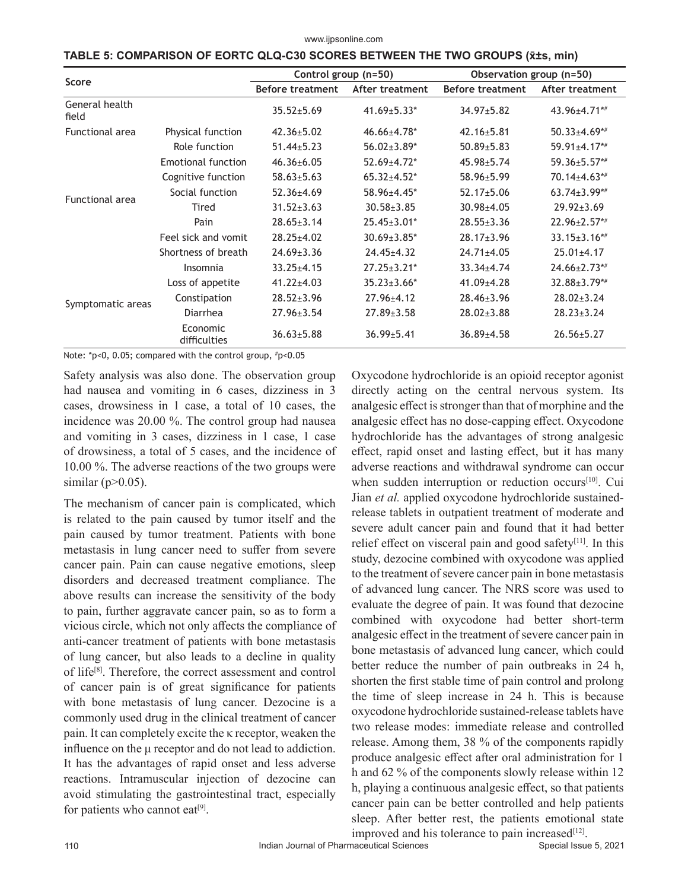www.ijpsonline.com

|  | TABLE 5: COMPARISON OF EORTC QLQ-C30 SCORES BETWEEN THE TWO GROUPS (x±s, min) |  |  |
|--|-------------------------------------------------------------------------------|--|--|
|--|-------------------------------------------------------------------------------|--|--|

| Score                   |                           | Control group (n=50)    |                    | Observation group (n=50) |                     |  |
|-------------------------|---------------------------|-------------------------|--------------------|--------------------------|---------------------|--|
|                         |                           | <b>Before treatment</b> | After treatment    | <b>Before treatment</b>  | After treatment     |  |
| General health<br>field |                           | $35.52 \pm 5.69$        | $41.69 \pm 5.33*$  | $34.97 \pm 5.82$         | 43.96±4.71**        |  |
| <b>Functional area</b>  | Physical function         | $42.36 \pm 5.02$        | 46.66±4.78*        | $42.16 \pm 5.81$         | $50.33 \pm 4.69$ *# |  |
|                         | Role function             | $51.44 \pm 5.23$        | $56.02 \pm 3.89*$  | $50.89 \pm 5.83$         | $59.91 \pm 4.17$ *# |  |
|                         | <b>Emotional function</b> | $46.36 \pm 6.05$        | 52.69±4.72*        | $45.98 \pm 5.74$         | 59.36±5.57*#        |  |
|                         | Cognitive function        | $58.63 \pm 5.63$        | $65.32 \pm 4.52$ * | $58.96 \pm 5.99$         | $70.14 \pm 4.63$ ** |  |
|                         | Social function           | $52.36 \pm 4.69$        | 58.96±4.45*        | $52.17 \pm 5.06$         | $63.74 \pm 3.99**$  |  |
| Functional area         | Tired                     | $31.52 \pm 3.63$        | $30.58 \pm 3.85$   | 30.98±4.05               | $29.92 \pm 3.69$    |  |
|                         | Pain                      | $28.65 \pm 3.14$        | $25.45 \pm 3.01*$  | $28.55 \pm 3.36$         | $22.96 \pm 2.57**$  |  |
|                         | Feel sick and vomit       | $28.25 \pm 4.02$        | $30.69 \pm 3.85$ * | $28.17 \pm 3.96$         | $33.15 \pm 3.16$ *# |  |
|                         | Shortness of breath       | $24.69 \pm 3.36$        | $24.45 \pm 4.32$   | $24.71 \pm 4.05$         | $25.01 \pm 4.17$    |  |
|                         | Insomnia                  | $33.25 \pm 4.15$        | $27.25 \pm 3.21$ * | $33.34 \pm 4.74$         | $24.66 \pm 2.73$ ** |  |
|                         | Loss of appetite          | $41.22 \pm 4.03$        | $35.23 \pm 3.66*$  | 41.09±4.28               | 32.88±3.79*#        |  |
| Symptomatic areas       | Constipation              | $28.52 \pm 3.96$        | $27.96 \pm 4.12$   | $28.46 \pm 3.96$         | $28.02 \pm 3.24$    |  |
|                         | Diarrhea                  | $27.96 \pm 3.54$        | $27.89 \pm 3.58$   | $28.02 \pm 3.88$         | $28.23 \pm 3.24$    |  |
|                         | Economic<br>difficulties  | $36.63 \pm 5.88$        | $36.99 \pm 5.41$   | $36.89{\pm}4.58$         | $26.56 \pm 5.27$    |  |

Note: \*p<0, 0.05; compared with the control group, # p<0.05

Safety analysis was also done. The observation group had nausea and vomiting in 6 cases, dizziness in 3 cases, drowsiness in 1 case, a total of 10 cases, the incidence was 20.00 %. The control group had nausea and vomiting in 3 cases, dizziness in 1 case, 1 case of drowsiness, a total of 5 cases, and the incidence of 10.00 %. The adverse reactions of the two groups were similar ( $p > 0.05$ ).

The mechanism of cancer pain is complicated, which is related to the pain caused by tumor itself and the pain caused by tumor treatment. Patients with bone metastasis in lung cancer need to suffer from severe cancer pain. Pain can cause negative emotions, sleep disorders and decreased treatment compliance. The above results can increase the sensitivity of the body to pain, further aggravate cancer pain, so as to form a vicious circle, which not only affects the compliance of anti-cancer treatment of patients with bone metastasis of lung cancer, but also leads to a decline in quality of life[8]. Therefore, the correct assessment and control of cancer pain is of great significance for patients with bone metastasis of lung cancer. Dezocine is a commonly used drug in the clinical treatment of cancer pain. It can completely excite the κ receptor, weaken the influence on the μ receptor and do not lead to addiction. It has the advantages of rapid onset and less adverse reactions. Intramuscular injection of dezocine can avoid stimulating the gastrointestinal tract, especially for patients who cannot eat<sup>[9]</sup>.

Oxycodone hydrochloride is an opioid receptor agonist directly acting on the central nervous system. Its analgesic effect is stronger than that of morphine and the analgesic effect has no dose-capping effect. Oxycodone hydrochloride has the advantages of strong analgesic effect, rapid onset and lasting effect, but it has many adverse reactions and withdrawal syndrome can occur when sudden interruption or reduction occurs<sup>[10]</sup>. Cui Jian *et al.* applied oxycodone hydrochloride sustainedrelease tablets in outpatient treatment of moderate and severe adult cancer pain and found that it had better relief effect on visceral pain and good safety $[11]$ . In this study, dezocine combined with oxycodone was applied to the treatment of severe cancer pain in bone metastasis of advanced lung cancer. The NRS score was used to evaluate the degree of pain. It was found that dezocine combined with oxycodone had better short-term analgesic effect in the treatment of severe cancer pain in bone metastasis of advanced lung cancer, which could better reduce the number of pain outbreaks in 24 h, shorten the first stable time of pain control and prolong the time of sleep increase in 24 h. This is because oxycodone hydrochloride sustained-release tablets have two release modes: immediate release and controlled release. Among them, 38 % of the components rapidly produce analgesic effect after oral administration for 1 h and 62 % of the components slowly release within 12 h, playing a continuous analgesic effect, so that patients cancer pain can be better controlled and help patients sleep. After better rest, the patients emotional state improved and his tolerance to pain increased $[12]$ .